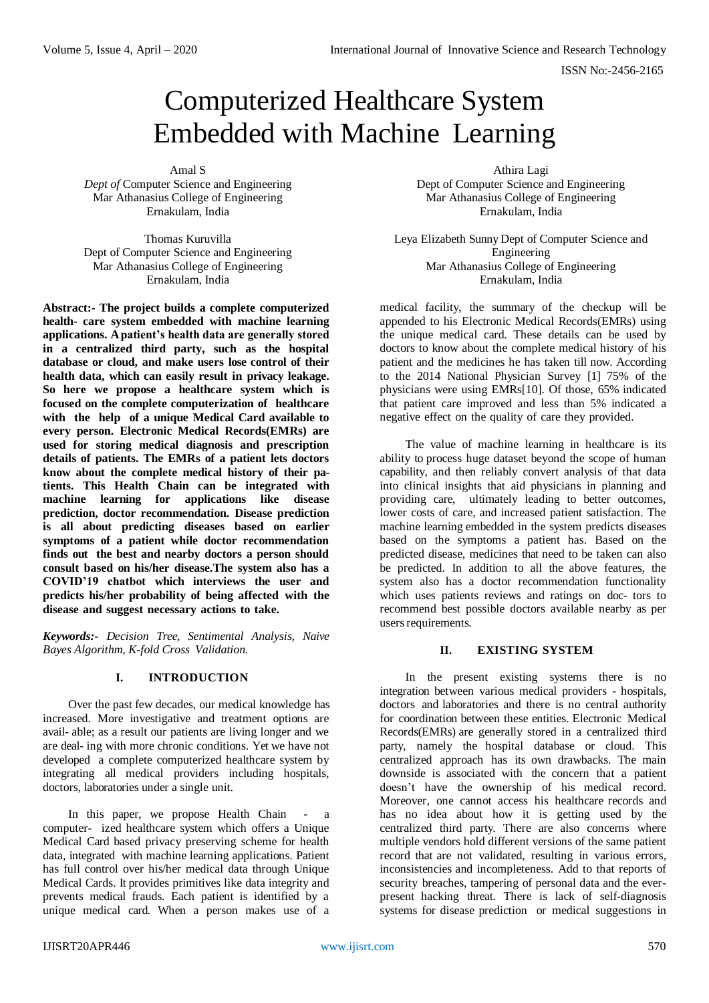ISSN No:-2456-2165

# Computerized Healthcare System Embedded with Machine Learning

Amal S

*Dept of* Computer Science and Engineering Mar Athanasius College of Engineering Ernakulam, India

Thomas Kuruvilla Dept of Computer Science and Engineering Mar Athanasius College of Engineering Ernakulam, India

**Abstract:- The project builds a complete computerized health- care system embedded with machine learning applications. A patient's health data are generally stored in a centralized third party, such as the hospital database or cloud, and make users lose control of their health data, which can easily result in privacy leakage. So here we propose a healthcare system which is focused on the complete computerization of healthcare with the help of a unique Medical Card available to every person. Electronic Medical Records(EMRs) are used for storing medical diagnosis and prescription details of patients. The EMRs of a patient lets doctors know about the complete medical history of their patients. This Health Chain can be integrated with machine learning for applications like disease prediction, doctor recommendation. Disease prediction is all about predicting diseases based on earlier symptoms of a patient while doctor recommendation finds out the best and nearby doctors a person should consult based on his/her disease.The system also has a COVID'19 chatbot which interviews the user and predicts his/her probability of being affected with the disease and suggest necessary actions to take.**

*Keywords:- Decision Tree, Sentimental Analysis, Naive Bayes Algorithm, K-fold Cross Validation.*

# **I. INTRODUCTION**

Over the past few decades, our medical knowledge has increased. More investigative and treatment options are avail- able; as a result our patients are living longer and we are deal- ing with more chronic conditions. Yet we have not developed a complete computerized healthcare system by integrating all medical providers including hospitals, doctors, laboratories under a single unit.

In this paper, we propose Health Chain - a computer- ized healthcare system which offers a Unique Medical Card based privacy preserving scheme for health data, integrated with machine learning applications. Patient has full control over his/her medical data through Unique Medical Cards. It provides primitives like data integrity and prevents medical frauds. Each patient is identified by a unique medical card. When a person makes use of a

Athira Lagi Dept of Computer Science and Engineering Mar Athanasius College of Engineering Ernakulam, India

Leya Elizabeth Sunny Dept of Computer Science and Engineering Mar Athanasius College of Engineering Ernakulam, India

medical facility, the summary of the checkup will be appended to his Electronic Medical Records(EMRs) using the unique medical card. These details can be used by doctors to know about the complete medical history of his patient and the medicines he has taken till now. According to the 2014 National Physician Survey [1] 75% of the physicians were using EMRs[10]. Of those, 65% indicated that patient care improved and less than 5% indicated a negative effect on the quality of care they provided.

The value of machine learning in healthcare is its ability to process huge dataset beyond the scope of human capability, and then reliably convert analysis of that data into clinical insights that aid physicians in planning and providing care, ultimately leading to better outcomes, lower costs of care, and increased patient satisfaction. The machine learning embedded in the system predicts diseases based on the symptoms a patient has. Based on the predicted disease, medicines that need to be taken can also be predicted. In addition to all the above features, the system also has a doctor recommendation functionality which uses patients reviews and ratings on doc- tors to recommend best possible doctors available nearby as per users requirements.

# **II. EXISTING SYSTEM**

In the present existing systems there is no integration between various medical providers - hospitals, doctors and laboratories and there is no central authority for coordination between these entities. Electronic Medical Records(EMRs) are generally stored in a centralized third party, namely the hospital database or cloud. This centralized approach has its own drawbacks. The main downside is associated with the concern that a patient doesn't have the ownership of his medical record. Moreover, one cannot access his healthcare records and has no idea about how it is getting used by the centralized third party. There are also concerns where multiple vendors hold different versions of the same patient record that are not validated, resulting in various errors, inconsistencies and incompleteness. Add to that reports of security breaches, tampering of personal data and the everpresent hacking threat. There is lack of self-diagnosis systems for disease prediction or medical suggestions in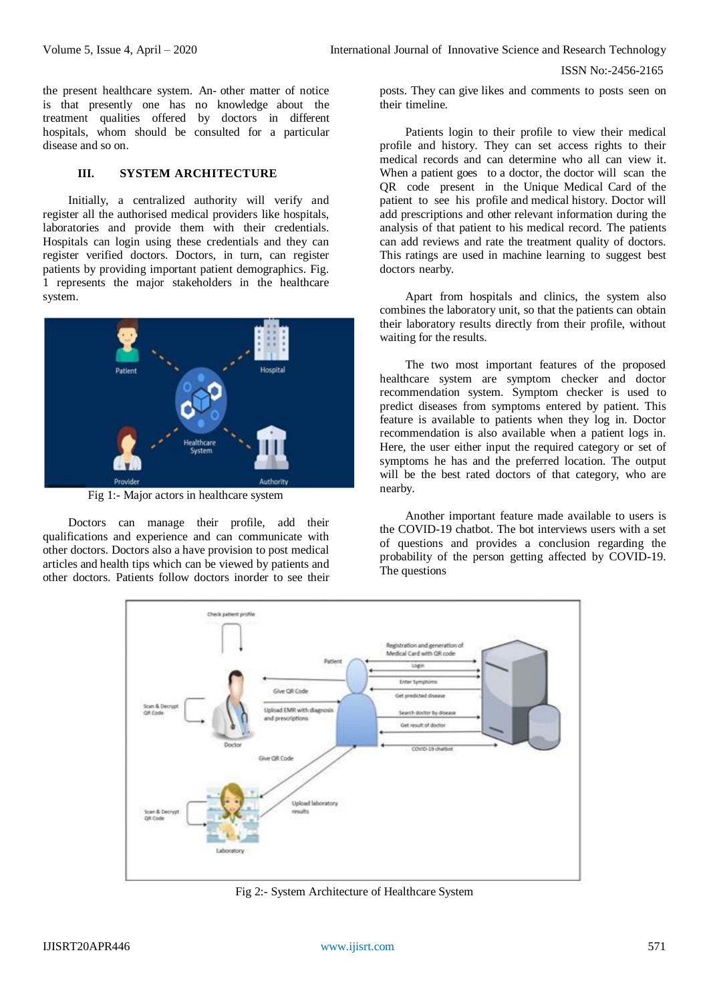ISSN No:-2456-2165

the present healthcare system. An- other matter of notice is that presently one has no knowledge about the treatment qualities offered by doctors in different hospitals, whom should be consulted for a particular disease and so on.

#### **III. SYSTEM ARCHITECTURE**

Initially, a centralized authority will verify and register all the authorised medical providers like hospitals, laboratories and provide them with their credentials. Hospitals can login using these credentials and they can register verified doctors. Doctors, in turn, can register patients by providing important patient demographics. Fig. 1 represents the major stakeholders in the healthcare system.



Fig 1:- Major actors in healthcare system

Doctors can manage their profile, add their qualifications and experience and can communicate with other doctors. Doctors also a have provision to post medical articles and health tips which can be viewed by patients and other doctors. Patients follow doctors inorder to see their posts. They can give likes and comments to posts seen on their timeline.

Patients login to their profile to view their medical profile and history. They can set access rights to their medical records and can determine who all can view it. When a patient goes to a doctor, the doctor will scan the QR code present in the Unique Medical Card of the patient to see his profile and medical history. Doctor will add prescriptions and other relevant information during the analysis of that patient to his medical record. The patients can add reviews and rate the treatment quality of doctors. This ratings are used in machine learning to suggest best doctors nearby.

Apart from hospitals and clinics, the system also combines the laboratory unit, so that the patients can obtain their laboratory results directly from their profile, without waiting for the results.

The two most important features of the proposed healthcare system are symptom checker and doctor recommendation system. Symptom checker is used to predict diseases from symptoms entered by patient. This feature is available to patients when they log in. Doctor recommendation is also available when a patient logs in. Here, the user either input the required category or set of symptoms he has and the preferred location. The output will be the best rated doctors of that category, who are nearby.

Another important feature made available to users is the COVID-19 chatbot. The bot interviews users with a set of questions and provides a conclusion regarding the probability of the person getting affected by COVID-19. The questions



Fig 2:- System Architecture of Healthcare System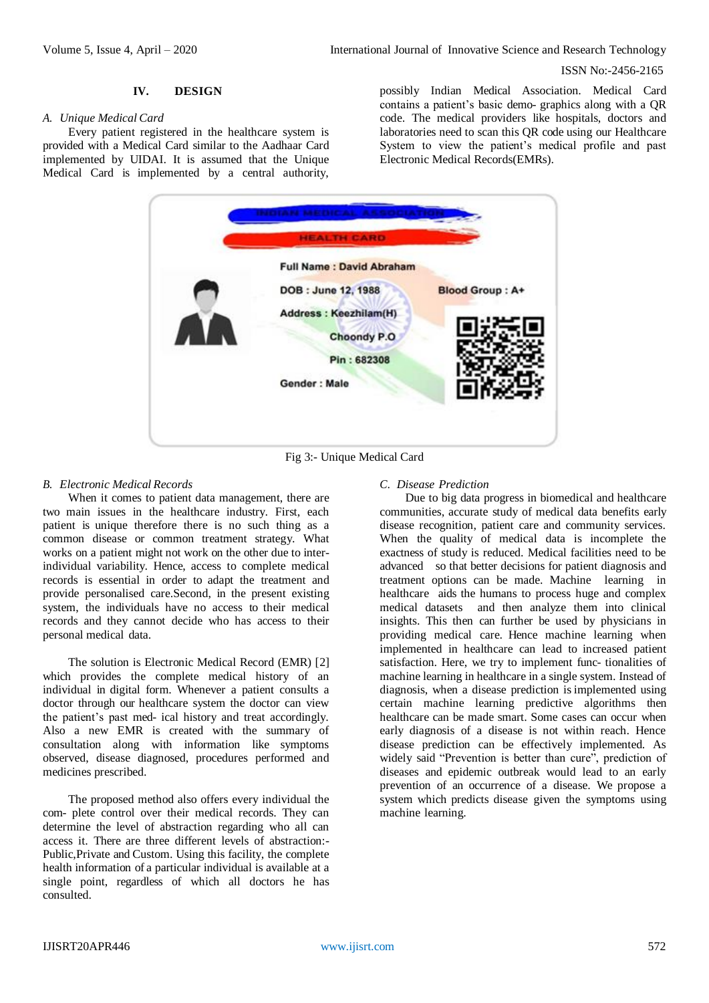ISSN No:-2456-2165

#### **IV. DESIGN**

#### *A. Unique Medical Card*

Every patient registered in the healthcare system is provided with a Medical Card similar to the Aadhaar Card implemented by UIDAI. It is assumed that the Unique Medical Card is implemented by a central authority, possibly Indian Medical Association. Medical Card contains a patient's basic demo- graphics along with a QR code. The medical providers like hospitals, doctors and laboratories need to scan this QR code using our Healthcare System to view the patient's medical profile and past Electronic Medical Records(EMRs).



Fig 3:- Unique Medical Card

#### *B. Electronic Medical Records*

When it comes to patient data management, there are two main issues in the healthcare industry. First, each patient is unique therefore there is no such thing as a common disease or common treatment strategy. What works on a patient might not work on the other due to interindividual variability. Hence, access to complete medical records is essential in order to adapt the treatment and provide personalised care.Second, in the present existing system, the individuals have no access to their medical records and they cannot decide who has access to their personal medical data.

The solution is Electronic Medical Record (EMR) [2] which provides the complete medical history of an individual in digital form. Whenever a patient consults a doctor through our healthcare system the doctor can view the patient's past med- ical history and treat accordingly. Also a new EMR is created with the summary of consultation along with information like symptoms observed, disease diagnosed, procedures performed and medicines prescribed.

The proposed method also offers every individual the com- plete control over their medical records. They can determine the level of abstraction regarding who all can access it. There are three different levels of abstraction:- Public,Private and Custom. Using this facility, the complete health information of a particular individual is available at a single point, regardless of which all doctors he has consulted.

#### *C. Disease Prediction*

Due to big data progress in biomedical and healthcare communities, accurate study of medical data benefits early disease recognition, patient care and community services. When the quality of medical data is incomplete the exactness of study is reduced. Medical facilities need to be advanced so that better decisions for patient diagnosis and treatment options can be made. Machine learning in healthcare aids the humans to process huge and complex medical datasets and then analyze them into clinical insights. This then can further be used by physicians in providing medical care. Hence machine learning when implemented in healthcare can lead to increased patient satisfaction. Here, we try to implement func- tionalities of machine learning in healthcare in a single system. Instead of diagnosis, when a disease prediction is implemented using certain machine learning predictive algorithms then healthcare can be made smart. Some cases can occur when early diagnosis of a disease is not within reach. Hence disease prediction can be effectively implemented. As widely said "Prevention is better than cure", prediction of diseases and epidemic outbreak would lead to an early prevention of an occurrence of a disease. We propose a system which predicts disease given the symptoms using machine learning.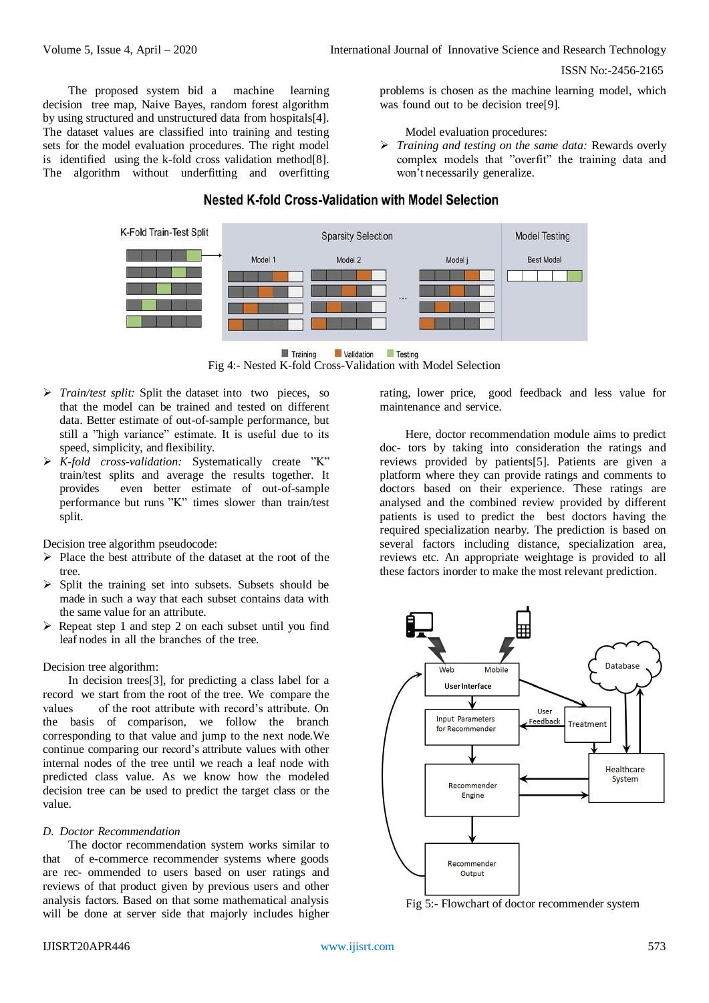ISSN No:-2456-2165

The proposed system bid a machine learning decision tree map, Naive Bayes, random forest algorithm by using structured and unstructured data from hospitals[4]. The dataset values are classified into training and testing sets for the model evaluation procedures. The right model is identified using the k-fold cross validation method[8]. The algorithm without underfitting and overfitting problems is chosen as the machine learning model, which was found out to be decision tree[9].

#### Model evaluation procedures:

 *Training and testing on the same data:* Rewards overly complex models that "overfit" the training data and won't necessarily generalize.

# Nested K-fold Cross-Validation with Model Selection



**Testing Training Validation** 

Fig 4:- Nested K-fold Cross-Validation with Model Selection

- *Train/test split:* Split the dataset into two pieces, so that the model can be trained and tested on different data. Better estimate of out-of-sample performance, but still a "high variance" estimate. It is useful due to its speed, simplicity, and flexibility.
- *K-fold cross-validation:* Systematically create "K" train/test splits and average the results together. It provides even better estimate of out-of-sample performance but runs "K" times slower than train/test split.

Decision tree algorithm pseudocode:

- $\triangleright$  Place the best attribute of the dataset at the root of the tree.
- $\triangleright$  Split the training set into subsets. Subsets should be made in such a way that each subset contains data with the same value for an attribute.
- $\triangleright$  Repeat step 1 and step 2 on each subset until you find leaf nodes in all the branches of the tree.

Decision tree algorithm:

In decision trees[3], for predicting a class label for a record we start from the root of the tree. We compare the values of the root attribute with record's attribute. On the basis of comparison, we follow the branch corresponding to that value and jump to the next node.We continue comparing our record's attribute values with other internal nodes of the tree until we reach a leaf node with predicted class value. As we know how the modeled decision tree can be used to predict the target class or the value.

### *D. Doctor Recommendation*

The doctor recommendation system works similar to that of e-commerce recommender systems where goods are rec- ommended to users based on user ratings and reviews of that product given by previous users and other analysis factors. Based on that some mathematical analysis will be done at server side that majorly includes higher

rating, lower price, good feedback and less value for maintenance and service.

Here, doctor recommendation module aims to predict doc- tors by taking into consideration the ratings and reviews provided by patients[5]. Patients are given a platform where they can provide ratings and comments to doctors based on their experience. These ratings are analysed and the combined review provided by different patients is used to predict the best doctors having the required specialization nearby. The prediction is based on several factors including distance, specialization area, reviews etc. An appropriate weightage is provided to all these factors inorder to make the most relevant prediction.



Fig 5:- Flowchart of doctor recommender system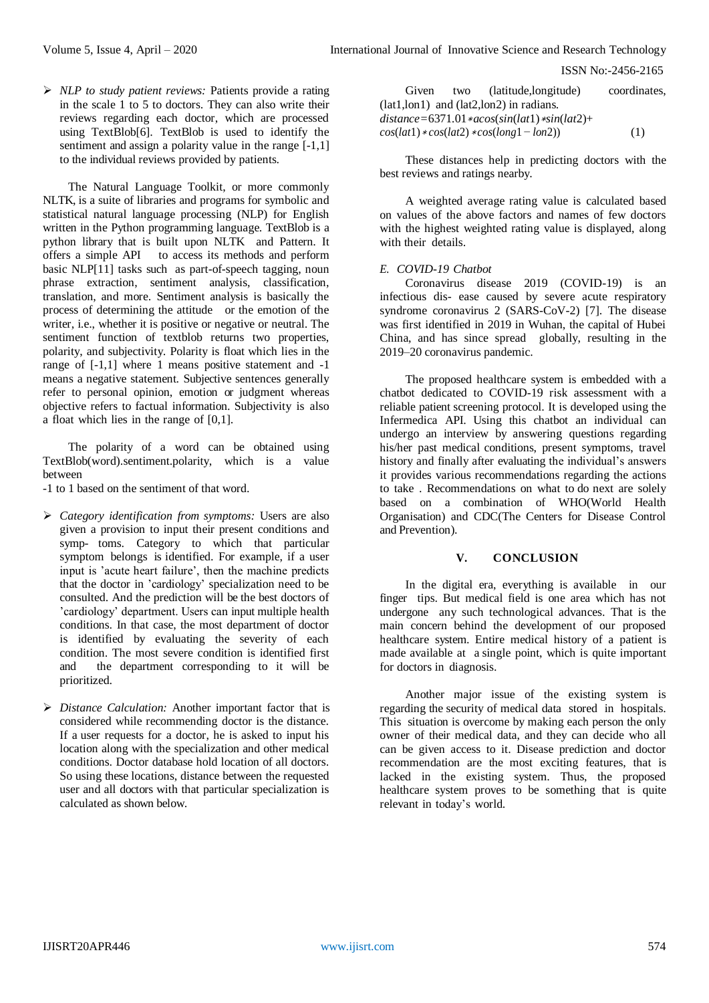ISSN No:-2456-2165

 *NLP to study patient reviews:* Patients provide a rating in the scale 1 to 5 to doctors. They can also write their reviews regarding each doctor, which are processed using TextBlob[6]. TextBlob is used to identify the sentiment and assign a polarity value in the range  $[-1,1]$ to the individual reviews provided by patients.

The Natural Language Toolkit, or more commonly NLTK, is a suite of libraries and programs for symbolic and statistical natural language processing (NLP) for English written in the Python programming language. TextBlob is a python library that is built upon NLTK and Pattern. It offers a simple API to access its methods and perform basic NLP[11] tasks such as part-of-speech tagging, noun phrase extraction, sentiment analysis, classification, translation, and more. Sentiment analysis is basically the process of determining the attitude or the emotion of the writer, i.e., whether it is positive or negative or neutral. The sentiment function of textblob returns two properties, polarity, and subjectivity. Polarity is float which lies in the range of [-1,1] where 1 means positive statement and -1 means a negative statement. Subjective sentences generally refer to personal opinion, emotion or judgment whereas objective refers to factual information. Subjectivity is also a float which lies in the range of [0,1].

The polarity of a word can be obtained using TextBlob(word).sentiment.polarity, which is a value between

-1 to 1 based on the sentiment of that word.

- *Category identification from symptoms:* Users are also given a provision to input their present conditions and symp- toms. Category to which that particular symptom belongs is identified. For example, if a user input is 'acute heart failure', then the machine predicts that the doctor in 'cardiology' specialization need to be consulted. And the prediction will be the best doctors of 'cardiology' department. Users can input multiple health conditions. In that case, the most department of doctor is identified by evaluating the severity of each condition. The most severe condition is identified first and the department corresponding to it will be prioritized.
- *Distance Calculation:* Another important factor that is considered while recommending doctor is the distance. If a user requests for a doctor, he is asked to input his location along with the specialization and other medical conditions. Doctor database hold location of all doctors. So using these locations, distance between the requested user and all doctors with that particular specialization is calculated as shown below.

| Given                                              |  | two (latitude, longitude) | coordinates. |
|----------------------------------------------------|--|---------------------------|--------------|
| $(lat1,lon1)$ and $(lat2,lon2)$ in radians.        |  |                           |              |
| $distance = 6371.01 * acos(sin(lat) * sin(lat2) +$ |  |                           |              |
| $cos(lat1) * cos(lat2) * cos(long1 - lon2))$       |  |                           | (1)          |

These distances help in predicting doctors with the best reviews and ratings nearby.

A weighted average rating value is calculated based on values of the above factors and names of few doctors with the highest weighted rating value is displayed, along with their details.

# *E. COVID-19 Chatbot*

Coronavirus disease 2019 (COVID-19) is an infectious dis- ease caused by severe acute respiratory syndrome coronavirus 2 (SARS-CoV-2) [7]. The disease was first identified in 2019 in Wuhan, the capital of Hubei China, and has since spread globally, resulting in the 2019–20 coronavirus pandemic.

The proposed healthcare system is embedded with a chatbot dedicated to COVID-19 risk assessment with a reliable patient screening protocol. It is developed using the Infermedica API. Using this chatbot an individual can undergo an interview by answering questions regarding his/her past medical conditions, present symptoms, travel history and finally after evaluating the individual's answers it provides various recommendations regarding the actions to take . Recommendations on what to do next are solely based on a combination of WHO(World Health Organisation) and CDC(The Centers for Disease Control and Prevention).

## **V. CONCLUSION**

In the digital era, everything is available in our finger tips. But medical field is one area which has not undergone any such technological advances. That is the main concern behind the development of our proposed healthcare system. Entire medical history of a patient is made available at a single point, which is quite important for doctors in diagnosis.

Another major issue of the existing system is regarding the security of medical data stored in hospitals. This situation is overcome by making each person the only owner of their medical data, and they can decide who all can be given access to it. Disease prediction and doctor recommendation are the most exciting features, that is lacked in the existing system. Thus, the proposed healthcare system proves to be something that is quite relevant in today's world.